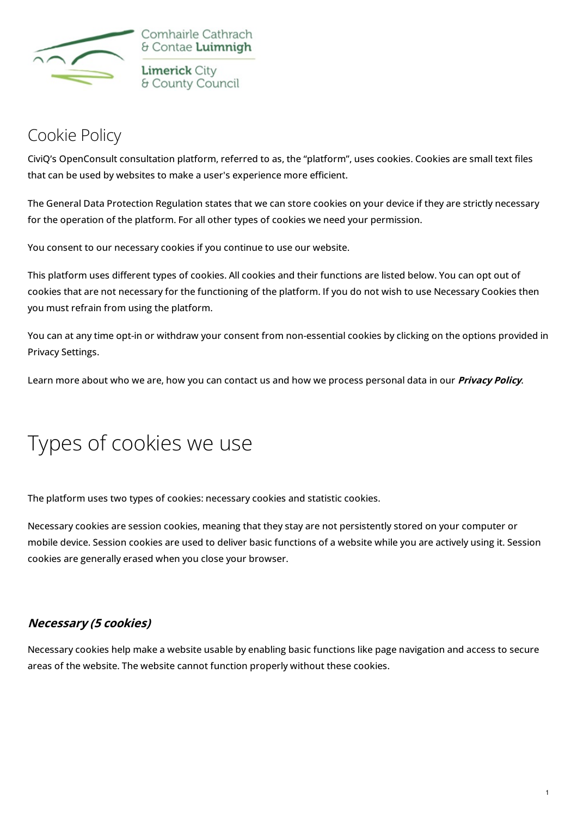

Comhairle Cathrach & Contae Luimnigh **Limerick City** & County Council

## [Cookie](https://mypoint.limerick.ie/en/content/cookie-policy) Policy

CiviQ's OpenConsult consultation platform, referred to as, the "platform", uses cookies. Cookies are small text files that can be used by websites to make a user's experience more efficient.

The General Data Protection Regulation states that we can store cookies on your device if they are strictly necessary for the operation of the platform. For all other types of cookies we need your permission.

You consent to our necessary cookies if you continue to use our website.

This platform uses different types of cookies. All cookies and their functions are listed below. You can opt out of cookies that are not necessary for the functioning of the platform. If you do not wish to use Necessary Cookies then you must refrain from using the platform.

You can at any time opt-in or withdraw your consent from non-essential cookies by clicking on the options provided in Privacy Settings.

Learn more about who we are, how you can contact us and how we process personal data in our **[Privacy](https://mypoint.limerick.ie/en/privacy-statement) Policy**.

## Types of cookies we use

The platform uses two types of cookies: necessary cookies and statistic cookies.

Necessary cookies are session cookies, meaning that they stay are not persistently stored on your computer or mobile device. Session cookies are used to deliver basic functions of a website while you are actively using it. Session cookies are generally erased when you close your browser.

## **Necessary (5 cookies)**

Necessary cookies help make a website usable by enabling basic functions like page navigation and access to secure areas of the website. The website cannot function properly without these cookies.